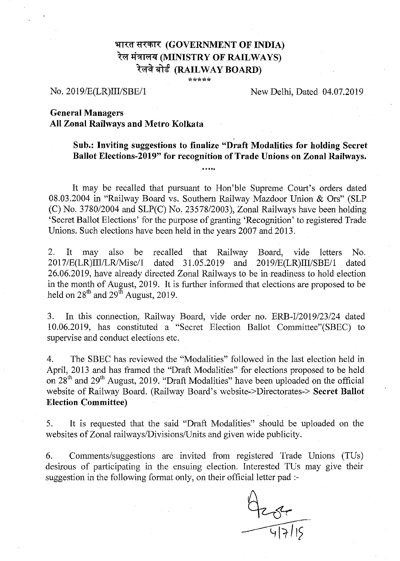## **'+rrof fl(CfII( (GOVERNMENT OF INDIA)** रेल मंत्रालय (MINISTRY OF RAILWAYS) **ili (RAILWAY BOARD)**

**\*\*\*\*\***

#### No. 2019/E(LR)III/SBE/l

#### New Delhi, Dated 04.07.2019

### **General Managers All Zonal Railways and Metro** Kolkata

# Sub.: **Inviting suggestions to finalize "Draft Modalities for holding Secret Ballot Elections-2019" for recognition of Trade Unions on Zonal Railways .** ..**...**

It may be recalled that pursuant to Hon'ble Supreme Court's orders dated 08.03.2004 in "Railway Board vs. Southern Railway Mazdoor Union & Ors" (SLP (C) No. 3780/2004 and SLP(C) No. 23578/2003), Zonal Railways have been holding 'Secret Ballot Elections' for the purpose of granting 'Recognition' to registered Trade Unions. Such elections have been held in the years 2007 and 2013.

2. It may also be recalled that Railway Board, vide letters No. 2017/E(LR)IIIILRIMisc/1 dated 31.05.2019 and 20 19/E(LR)III/SBE/l dated 26.06.2019, have already directed Zonal Railways to be in readiness to hold election in the month of August, 2019. It is further informed that elections are proposed to be held on  $28^{th}$  and  $29^{th}$  August, 2019.

3. **In** this connection, Railway Board, vide order no. ERB-I/2019/23/24 dated 10.06.2019, has constituted a "Secret Election Ballot Committee"(SBEC) to supervise and conduct elections etc.

4. The SBEC has reviewed the "Modalities" followed in the last election held in April, 2013 and has framed the "Draft Modalities" for elections proposed to be held on 28<sup>th</sup> and 29<sup>th</sup> August, 2019. "Draft Modalities" have been uploaded on the official website of Railway Board. (Railway Board's website->Directorates-> **Secret Ballot Election Committee)**

5. It is requested that the said "Draft Modalities" should be uploaded on the websites of Zonal railways/Divisions/Units and given wide publicity.

6. Comments/suggestions are invited from registered Trade Unions (TUs) desirous of participating in the ensuing election. Interested TUs may give their suggestion in the following format only, on their official letter pad ;-